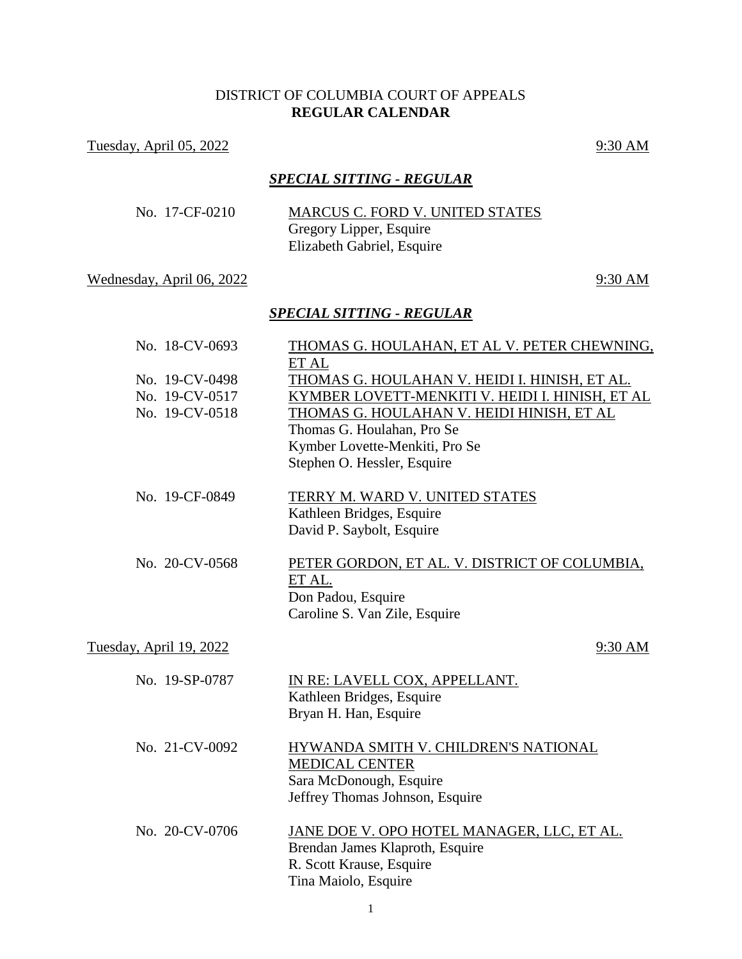# DISTRICT OF COLUMBIA COURT OF APPEALS **REGULAR CALENDAR**

Tuesday, April 05, 2022 9:30 AM

### *SPECIAL SITTING - REGULAR*

| No. 17-CF-0210 | MARCUS C. FORD V. UNITED STATES                       |
|----------------|-------------------------------------------------------|
|                | Gregory Lipper, Esquire<br>Elizabeth Gabriel, Esquire |
|                |                                                       |

## Wednesday, April 06, 2022 9:30 AM

### *SPECIAL SITTING - REGULAR*

| No. 18-CV-0693                                     | THOMAS G. HOULAHAN, ET AL V. PETER CHEWNING,                                                                                                                                                                                                          |
|----------------------------------------------------|-------------------------------------------------------------------------------------------------------------------------------------------------------------------------------------------------------------------------------------------------------|
| No. 19-CV-0498<br>No. 19-CV-0517<br>No. 19-CV-0518 | ET AL<br>THOMAS G. HOULAHAN V. HEIDI I. HINISH, ET AL.<br>KYMBER LOVETT-MENKITI V. HEIDI I. HINISH, ET AL<br>THOMAS G. HOULAHAN V. HEIDI HINISH, ET AL<br>Thomas G. Houlahan, Pro Se<br>Kymber Lovette-Menkiti, Pro Se<br>Stephen O. Hessler, Esquire |
| No. 19-CF-0849                                     | TERRY M. WARD V. UNITED STATES<br>Kathleen Bridges, Esquire<br>David P. Saybolt, Esquire                                                                                                                                                              |
| No. 20-CV-0568                                     | PETER GORDON, ET AL. V. DISTRICT OF COLUMBIA,<br>ET AL.<br>Don Padou, Esquire<br>Caroline S. Van Zile, Esquire                                                                                                                                        |
| Tuesday, April 19, 2022                            | 9:30 AM                                                                                                                                                                                                                                               |
| No. 19-SP-0787                                     | IN RE: LAVELL COX, APPELLANT.<br>Kathleen Bridges, Esquire<br>Bryan H. Han, Esquire                                                                                                                                                                   |
| No. 21-CV-0092                                     | HYWANDA SMITH V. CHILDREN'S NATIONAL<br><b>MEDICAL CENTER</b><br>Sara McDonough, Esquire<br>Jeffrey Thomas Johnson, Esquire                                                                                                                           |
| No. 20-CV-0706                                     | JANE DOE V. OPO HOTEL MANAGER, LLC, ET AL.<br>Brendan James Klaproth, Esquire<br>R. Scott Krause, Esquire<br>Tina Maiolo, Esquire                                                                                                                     |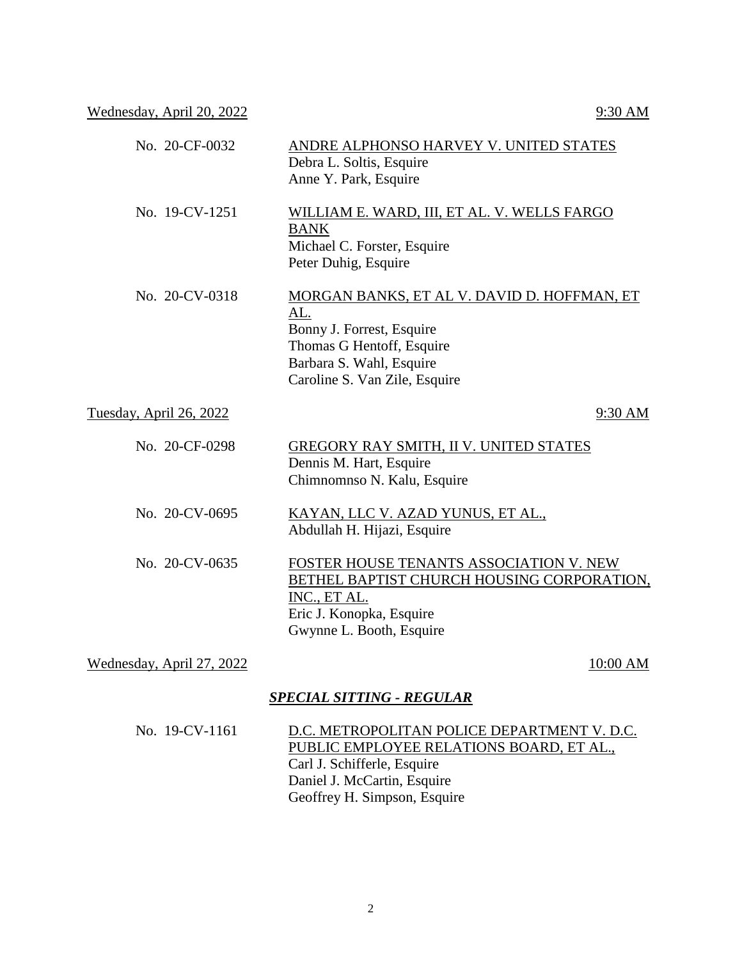Wednesday, April 20, 2022 9:30 AM

| No. 20-CF-0032                 | ANDRE ALPHONSO HARVEY V. UNITED STATES<br>Debra L. Soltis, Esquire<br>Anne Y. Park, Esquire                                                                               |
|--------------------------------|---------------------------------------------------------------------------------------------------------------------------------------------------------------------------|
| No. 19-CV-1251                 | WILLIAM E. WARD, III, ET AL. V. WELLS FARGO<br><b>BANK</b><br>Michael C. Forster, Esquire<br>Peter Duhig, Esquire                                                         |
| No. 20-CV-0318                 | MORGAN BANKS, ET AL V. DAVID D. HOFFMAN, ET<br>AL.<br>Bonny J. Forrest, Esquire<br>Thomas G Hentoff, Esquire<br>Barbara S. Wahl, Esquire<br>Caroline S. Van Zile, Esquire |
| <u>Tuesday, April 26, 2022</u> | 9:30 AM                                                                                                                                                                   |
| No. 20-CF-0298                 | GREGORY RAY SMITH, II V. UNITED STATES<br>Dennis M. Hart, Esquire<br>Chimnomnso N. Kalu, Esquire                                                                          |
| No. 20-CV-0695                 | KAYAN, LLC V. AZAD YUNUS, ET AL.,<br>Abdullah H. Hijazi, Esquire                                                                                                          |
| No. 20-CV-0635                 | FOSTER HOUSE TENANTS ASSOCIATION V. NEW<br>BETHEL BAPTIST CHURCH HOUSING CORPORATION,<br>INC., ET AL.<br>Eric J. Konopka, Esquire<br>Gwynne L. Booth, Esquire             |
| Wednesday, April 27, 2022      | 10:00 AM                                                                                                                                                                  |
|                                | <b>SPECIAL SITTING - REGULAR</b>                                                                                                                                          |

# No. 19-CV-1161 D.C. METROPOLITAN POLICE DEPARTMENT V. D.C. PUBLIC EMPLOYEE RELATIONS BOARD, ET AL., Carl J. Schifferle, Esquire Daniel J. McCartin, Esquire Geoffrey H. Simpson, Esquire